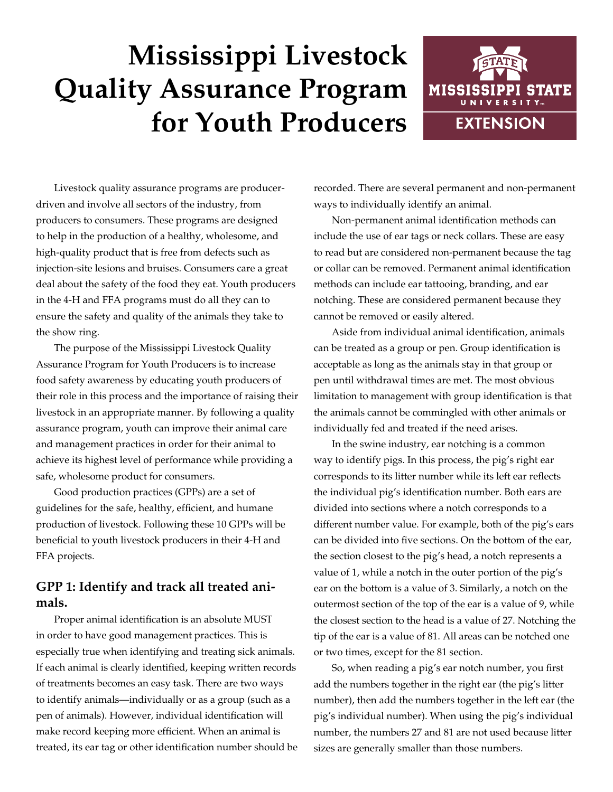# **Mississippi Livestock Quality Assurance Program for Youth Producers**



Livestock quality assurance programs are producerdriven and involve all sectors of the industry, from producers to consumers. These programs are designed to help in the production of a healthy, wholesome, and high-quality product that is free from defects such as injection-site lesions and bruises. Consumers care a great deal about the safety of the food they eat. Youth producers in the 4-H and FFA programs must do all they can to ensure the safety and quality of the animals they take to the show ring.

The purpose of the Mississippi Livestock Quality Assurance Program for Youth Producers is to increase food safety awareness by educating youth producers of their role in this process and the importance of raising their livestock in an appropriate manner. By following a quality assurance program, youth can improve their animal care and management practices in order for their animal to achieve its highest level of performance while providing a safe, wholesome product for consumers.

Good production practices (GPPs) are a set of guidelines for the safe, healthy, efficient, and humane production of livestock. Following these 10 GPPs will be beneficial to youth livestock producers in their 4-H and FFA projects.

## **GPP 1: Identify and track all treated animals.**

Proper animal identification is an absolute MUST in order to have good management practices. This is especially true when identifying and treating sick animals. If each animal is clearly identified, keeping written records of treatments becomes an easy task. There are two ways to identify animals—individually or as a group (such as a pen of animals). However, individual identification will make record keeping more efficient. When an animal is treated, its ear tag or other identification number should be recorded. There are several permanent and non-permanent ways to individually identify an animal.

Non-permanent animal identification methods can include the use of ear tags or neck collars. These are easy to read but are considered non-permanent because the tag or collar can be removed. Permanent animal identification methods can include ear tattooing, branding, and ear notching. These are considered permanent because they cannot be removed or easily altered.

Aside from individual animal identification, animals can be treated as a group or pen. Group identification is acceptable as long as the animals stay in that group or pen until withdrawal times are met. The most obvious limitation to management with group identification is that the animals cannot be commingled with other animals or individually fed and treated if the need arises.

In the swine industry, ear notching is a common way to identify pigs. In this process, the pig's right ear corresponds to its litter number while its left ear reflects the individual pig's identification number. Both ears are divided into sections where a notch corresponds to a different number value. For example, both of the pig's ears can be divided into five sections. On the bottom of the ear, the section closest to the pig's head, a notch represents a value of 1, while a notch in the outer portion of the pig's ear on the bottom is a value of 3. Similarly, a notch on the outermost section of the top of the ear is a value of 9, while the closest section to the head is a value of 27. Notching the tip of the ear is a value of 81. All areas can be notched one or two times, except for the 81 section.

So, when reading a pig's ear notch number, you first add the numbers together in the right ear (the pig's litter number), then add the numbers together in the left ear (the pig's individual number). When using the pig's individual number, the numbers 27 and 81 are not used because litter sizes are generally smaller than those numbers.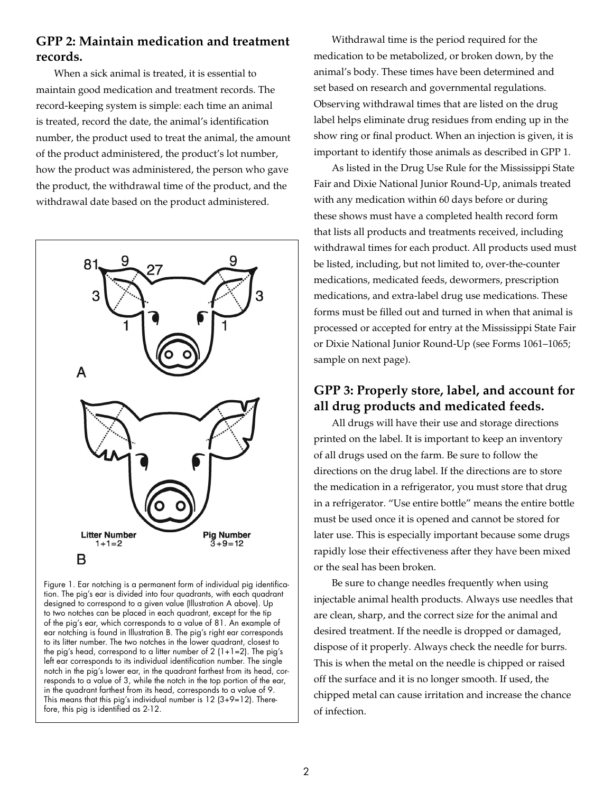#### **GPP 2: Maintain medication and treatment records.**

When a sick animal is treated, it is essential to maintain good medication and treatment records. The record-keeping system is simple: each time an animal is treated, record the date, the animal's identification number, the product used to treat the animal, the amount of the product administered, the product's lot number, how the product was administered, the person who gave the product, the withdrawal time of the product, and the withdrawal date based on the product administered.



Figure 1. Ear notching is a permanent form of individual pig identification. The pig's ear is divided into four quadrants, with each quadrant designed to correspond to a given value (Illustration A above). Up to two notches can be placed in each quadrant, except for the tip of the pig's ear, which corresponds to a value of 81. An example of ear notching is found in Illustration B. The pig's right ear corresponds to its litter number. The two notches in the lower quadrant, closest to the pig's head, correspond to a litter number of  $2(1+1=2)$ . The pig's left ear corresponds to its individual identification number. The single notch in the pig's lower ear, in the quadrant farthest from its head, corresponds to a value of 3, while the notch in the top portion of the ear, in the quadrant farthest from its head, corresponds to a value of 9. This means that this pig's individual number is  $12$  (3+9=12). Therefore, this pig is identified as 2-12.

Withdrawal time is the period required for the medication to be metabolized, or broken down, by the animal's body. These times have been determined and set based on research and governmental regulations. Observing withdrawal times that are listed on the drug label helps eliminate drug residues from ending up in the show ring or final product. When an injection is given, it is important to identify those animals as described in GPP 1.

As listed in the Drug Use Rule for the Mississippi State Fair and Dixie National Junior Round-Up, animals treated with any medication within 60 days before or during these shows must have a completed health record form that lists all products and treatments received, including withdrawal times for each product. All products used must be listed, including, but not limited to, over-the-counter medications, medicated feeds, dewormers, prescription medications, and extra-label drug use medications. These forms must be filled out and turned in when that animal is processed or accepted for entry at the Mississippi State Fair or Dixie National Junior Round-Up (see Forms 1061–1065; sample on next page).

## **GPP 3: Properly store, label, and account for all drug products and medicated feeds.**

All drugs will have their use and storage directions printed on the label. It is important to keep an inventory of all drugs used on the farm. Be sure to follow the directions on the drug label. If the directions are to store the medication in a refrigerator, you must store that drug in a refrigerator. "Use entire bottle" means the entire bottle must be used once it is opened and cannot be stored for later use. This is especially important because some drugs rapidly lose their effectiveness after they have been mixed or the seal has been broken.

Be sure to change needles frequently when using injectable animal health products. Always use needles that are clean, sharp, and the correct size for the animal and desired treatment. If the needle is dropped or damaged, dispose of it properly. Always check the needle for burrs. This is when the metal on the needle is chipped or raised off the surface and it is no longer smooth. If used, the chipped metal can cause irritation and increase the chance of infection.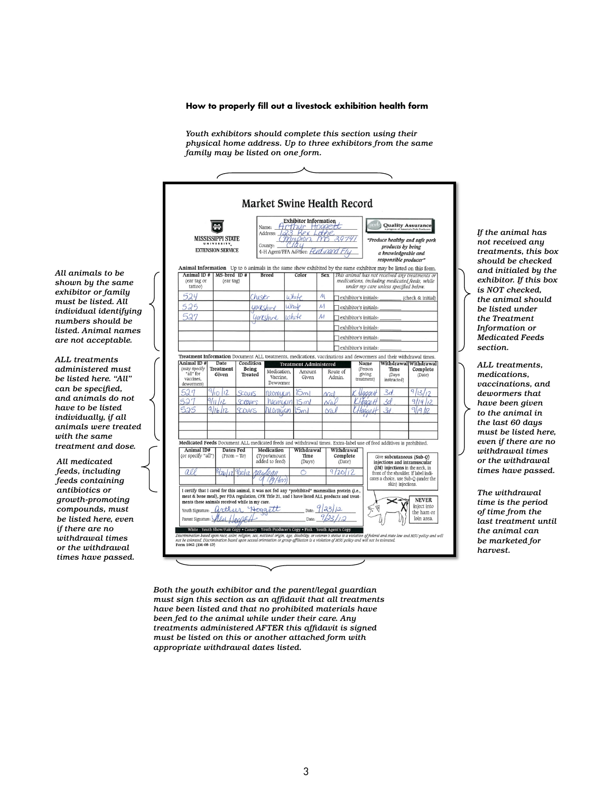#### **How to properly fill out a livestock exhibition health form How to properly fill out a livestock exhibition health form**

*Youth exhibitors should complete this section using their physical Youth exhibitors should complete this section using their home address. Up to three exhibitors from the same family may physical home address. Up to three exhibitors from the same be listed on one form. family may be listed on one form.*

| MISSISSIPPI STATE                                        |                     |                                                                                                      | <b>Exhibitor Information</b><br>Hrthur Hoggett<br>Name:<br>Address: 123 Rex Loune<br>nmpion.                       |                                                                                                     |                                                                  |                                                                                       |                                                                                                                                          |                                                                                                                                                                                                                             | <b>Quality Assurance</b><br>"Produce healthy and safe pork       |                                                                                                                                                                                                                                                                                                                                                                                                                                                          |  |
|----------------------------------------------------------|---------------------|------------------------------------------------------------------------------------------------------|--------------------------------------------------------------------------------------------------------------------|-----------------------------------------------------------------------------------------------------|------------------------------------------------------------------|---------------------------------------------------------------------------------------|------------------------------------------------------------------------------------------------------------------------------------------|-----------------------------------------------------------------------------------------------------------------------------------------------------------------------------------------------------------------------------|------------------------------------------------------------------|----------------------------------------------------------------------------------------------------------------------------------------------------------------------------------------------------------------------------------------------------------------------------------------------------------------------------------------------------------------------------------------------------------------------------------------------------------|--|
| UNIVERSITY_                                              |                     | County:                                                                                              |                                                                                                                    | iau                                                                                                 |                                                                  |                                                                                       |                                                                                                                                          |                                                                                                                                                                                                                             | products by being                                                |                                                                                                                                                                                                                                                                                                                                                                                                                                                          |  |
| Animal ID#                                               |                     | <b>Breed</b>                                                                                         |                                                                                                                    | Color                                                                                               |                                                                  |                                                                                       | This animal has not received any treatments or<br>medications, including medicated feeds, while<br>under my care unless specified below. |                                                                                                                                                                                                                             |                                                                  |                                                                                                                                                                                                                                                                                                                                                                                                                                                          |  |
|                                                          |                     | Chister                                                                                              |                                                                                                                    | u hite                                                                                              |                                                                  |                                                                                       | exhibitor's initials:<br>(check & initial)                                                                                               |                                                                                                                                                                                                                             |                                                                  |                                                                                                                                                                                                                                                                                                                                                                                                                                                          |  |
|                                                          |                     |                                                                                                      |                                                                                                                    |                                                                                                     | M                                                                |                                                                                       | exhibitor's initials:<br>exhibitor's initials:                                                                                           |                                                                                                                                                                                                                             |                                                                  |                                                                                                                                                                                                                                                                                                                                                                                                                                                          |  |
|                                                          |                     |                                                                                                      |                                                                                                                    |                                                                                                     | $\mathcal{M}_{\mathcal{A}}$                                      |                                                                                       |                                                                                                                                          |                                                                                                                                                                                                                             |                                                                  |                                                                                                                                                                                                                                                                                                                                                                                                                                                          |  |
|                                                          |                     |                                                                                                      |                                                                                                                    |                                                                                                     |                                                                  |                                                                                       | exhibitor's initials:                                                                                                                    |                                                                                                                                                                                                                             |                                                                  |                                                                                                                                                                                                                                                                                                                                                                                                                                                          |  |
|                                                          |                     |                                                                                                      |                                                                                                                    |                                                                                                     |                                                                  |                                                                                       |                                                                                                                                          |                                                                                                                                                                                                                             |                                                                  |                                                                                                                                                                                                                                                                                                                                                                                                                                                          |  |
|                                                          |                     |                                                                                                      |                                                                                                                    |                                                                                                     |                                                                  |                                                                                       | exhibitor's initials:                                                                                                                    |                                                                                                                                                                                                                             |                                                                  |                                                                                                                                                                                                                                                                                                                                                                                                                                                          |  |
| (may specify<br><b>Treatment</b><br>Given<br>dewormers)  |                     |                                                                                                      |                                                                                                                    | Amount<br>Given                                                                                     |                                                                  | Route of<br>Admin.                                                                    |                                                                                                                                          |                                                                                                                                                                                                                             | Time<br>(Days<br>instructed)                                     | Complete<br>(Date)                                                                                                                                                                                                                                                                                                                                                                                                                                       |  |
|                                                          |                     |                                                                                                      |                                                                                                                    |                                                                                                     |                                                                  |                                                                                       |                                                                                                                                          |                                                                                                                                                                                                                             |                                                                  |                                                                                                                                                                                                                                                                                                                                                                                                                                                          |  |
|                                                          |                     |                                                                                                      |                                                                                                                    |                                                                                                     |                                                                  |                                                                                       |                                                                                                                                          |                                                                                                                                                                                                                             |                                                                  |                                                                                                                                                                                                                                                                                                                                                                                                                                                          |  |
|                                                          |                     |                                                                                                      |                                                                                                                    |                                                                                                     |                                                                  |                                                                                       |                                                                                                                                          |                                                                                                                                                                                                                             |                                                                  |                                                                                                                                                                                                                                                                                                                                                                                                                                                          |  |
|                                                          |                     |                                                                                                      |                                                                                                                    |                                                                                                     |                                                                  |                                                                                       |                                                                                                                                          |                                                                                                                                                                                                                             |                                                                  |                                                                                                                                                                                                                                                                                                                                                                                                                                                          |  |
| Animal ID#<br>(or specify "all")<br>$(From - To)$<br>all |                     |                                                                                                      |                                                                                                                    | Time<br>(Days)                                                                                      |                                                                  | Complete<br>(Date)                                                                    |                                                                                                                                          | Give subcutaneous (Sub-O)<br>injections and intramuscular<br>(IM) injections in the neck, in                                                                                                                                |                                                                  |                                                                                                                                                                                                                                                                                                                                                                                                                                                          |  |
|                                                          |                     |                                                                                                      |                                                                                                                    |                                                                                                     |                                                                  |                                                                                       |                                                                                                                                          | front of the shoulder. If label indi-<br>cates a choice, use Sub-Q (under the<br>skin) injections.                                                                                                                          |                                                                  |                                                                                                                                                                                                                                                                                                                                                                                                                                                          |  |
|                                                          |                     |                                                                                                      |                                                                                                                    |                                                                                                     |                                                                  |                                                                                       |                                                                                                                                          |                                                                                                                                                                                                                             |                                                                  | <b>NEVER</b><br>inject into                                                                                                                                                                                                                                                                                                                                                                                                                              |  |
| Youth Signature:<br>Parent Signature:                    |                     |                                                                                                      |                                                                                                                    | Date:                                                                                               |                                                                  |                                                                                       |                                                                                                                                          |                                                                                                                                                                                                                             |                                                                  | the ham or<br>loin area.                                                                                                                                                                                                                                                                                                                                                                                                                                 |  |
|                                                          | <b>Date</b><br>6/26 | <b>EXTENSION SERVICE</b><br>$MS$ -bred ID#<br>(ear tag)<br>Dates Fed<br>Vzol <sub>12</sub><br>arthur | Condition<br>Being<br><b>Treated</b><br>Scours<br>Scrouts<br>OUS<br>ments these animals received while in my care. | Vaccine.<br>Dewormer<br>neomucin<br>Medication<br>(Type/amount<br>added to feed)<br>Horn<br>Hoggett | vhite<br>Medication.<br>5m<br>Sml<br>resorucir<br>$0$ mucin<br>6 | 4-H Agent/FFA Advisor: Ferd<br>$\mathcal{M}_{\mathcal{A}}$<br>Withdrawal<br>Date: $9$ | <b>Sex</b><br><b>Treatment Administered</b>                                                                                              | Withdrawal<br>9/20/17<br>I certify that I cared for this animal, it was not fed any "prohibited" mammalian protein (i.e.,<br>meat & bone meal), per FDA regulation. CFR Title 21, and I have listed ALL products and treat- | exhibitor's initials:<br>Name<br>(Person<br>giving<br>treatment) | a knowledgeable and<br>responsible producer"<br>Animal Information Up to 6 animals in the same show exhibited by the same exhibitor may be listed on this form.<br>Treatment Information Document ALL treatments, medications, vaccinations and dewormers and their withdrawal times.<br>Withdrawal Withdrawal <br>3d<br>2d<br>31<br>Medicated Feeds Document ALL medicated feeds and withdrawal times. Extra-label use of feed additives is prohibited. |  |

*Both the youth exhibitor and the parent/legal guardian Both the youth exhibitor and the parent/legal guardian must sign this section as an affidavit that all treatments must sign this section as an affidavit that all treatments have been listed and that no prohibited materials have have been listed and that no prohibited materials have been fed to the animal while under their care. Any been fed to the animal while under their care. Any treatments administered AFTER this affidavit is signed treatments administered AFTER this affidavit is signed must be listed on this or another attached form with must be listed on this or another attached form with appropriate withdrawal dates listed. appropriate withdrawal dates listed.*

*If the animal has not If the animal has received any not received any treatments, this box treatments, this box should be checked should be checked and initialed by the and initialed by the exhibitor. If this box exhibitor. If this box is NOT checked, the is NOT checked, animal should be the animal should listed under the be listed under Treatment the Treatment Information or Information or Medicated Feeds Medicated Feeds section. section.*

*ALL treatments, ALL treatments, medications, medications, vaccinations, and vaccinations, and dewormers that dewormers that have been given to have been given the animal in under the exhibitor's the last 60 days care must be listed must be listed here, here, even if there even if there are no are no withdrawal withdrawal times times or the withdrawal times or the withdrawal have passed. times have passed.*

*The withdrawal time The withdrawal is the period of time time is the period from the last of time from the*   $last$  treatment until *animal can be the animal can marketed for be marketed for harvest. harvest.*

*All animals to be All animals to be shown by the same shown by the same exhibitor or family exhibitor or family must be listed. All must be listed. All individual identifying individual identifying numbers should be numbers should be listed. Animal names listed. Animal names are not acceptable. are not acceptable.*

*ALL treatments ALL treatments administered must administered must be listed here. "All" be listed here. "All" can be specified, and can be specified, animals do not have and animals do not to be listed have to be listed individually, if all individually, if all animals were treated animals were treated with the same with the same treatment and dose. treatment and dose.*

*All medicated feeds, All medicated including feeds feeds, including containing antibiotics feeds containing or growth-promoting antibiotics or compounds, must be growth-promoting listed here, even if compounds, must there are no be listed here, even withdrawal times or if there are no the withdrawal times withdrawal times have passed. or the withdrawal times have passed.*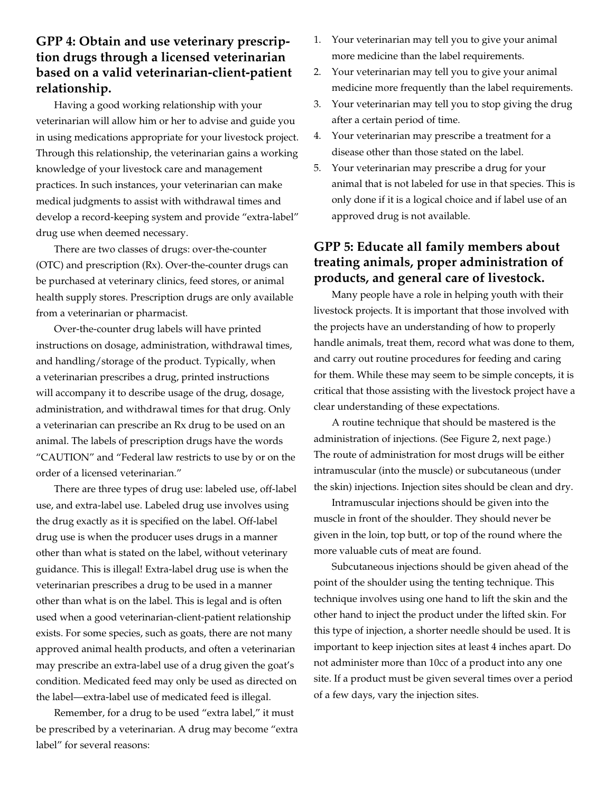## **GPP 4: Obtain and use veterinary prescription drugs through a licensed veterinarian based on a valid veterinarian-client-patient relationship.**

Having a good working relationship with your veterinarian will allow him or her to advise and guide you in using medications appropriate for your livestock project. Through this relationship, the veterinarian gains a working knowledge of your livestock care and management practices. In such instances, your veterinarian can make medical judgments to assist with withdrawal times and develop a record-keeping system and provide "extra-label" drug use when deemed necessary.

There are two classes of drugs: over-the-counter (OTC) and prescription (Rx). Over-the-counter drugs can be purchased at veterinary clinics, feed stores, or animal health supply stores. Prescription drugs are only available from a veterinarian or pharmacist.

Over-the-counter drug labels will have printed instructions on dosage, administration, withdrawal times, and handling/storage of the product. Typically, when a veterinarian prescribes a drug, printed instructions will accompany it to describe usage of the drug, dosage, administration, and withdrawal times for that drug. Only a veterinarian can prescribe an Rx drug to be used on an animal. The labels of prescription drugs have the words "CAUTION" and "Federal law restricts to use by or on the order of a licensed veterinarian."

There are three types of drug use: labeled use, off-label use, and extra-label use. Labeled drug use involves using the drug exactly as it is specified on the label. Off-label drug use is when the producer uses drugs in a manner other than what is stated on the label, without veterinary guidance. This is illegal! Extra-label drug use is when the veterinarian prescribes a drug to be used in a manner other than what is on the label. This is legal and is often used when a good veterinarian-client-patient relationship exists. For some species, such as goats, there are not many approved animal health products, and often a veterinarian may prescribe an extra-label use of a drug given the goat's condition. Medicated feed may only be used as directed on the label—extra-label use of medicated feed is illegal.

Remember, for a drug to be used "extra label," it must be prescribed by a veterinarian. A drug may become "extra label" for several reasons:

- 1. Your veterinarian may tell you to give your animal more medicine than the label requirements.
- 2. Your veterinarian may tell you to give your animal medicine more frequently than the label requirements.
- 3. Your veterinarian may tell you to stop giving the drug after a certain period of time.
- 4. Your veterinarian may prescribe a treatment for a disease other than those stated on the label.
- 5. Your veterinarian may prescribe a drug for your animal that is not labeled for use in that species. This is only done if it is a logical choice and if label use of an approved drug is not available.

## **GPP 5: Educate all family members about treating animals, proper administration of products, and general care of livestock.**

Many people have a role in helping youth with their livestock projects. It is important that those involved with the projects have an understanding of how to properly handle animals, treat them, record what was done to them, and carry out routine procedures for feeding and caring for them. While these may seem to be simple concepts, it is critical that those assisting with the livestock project have a clear understanding of these expectations.

A routine technique that should be mastered is the administration of injections. (See Figure 2, next page.) The route of administration for most drugs will be either intramuscular (into the muscle) or subcutaneous (under the skin) injections. Injection sites should be clean and dry.

Intramuscular injections should be given into the muscle in front of the shoulder. They should never be given in the loin, top butt, or top of the round where the more valuable cuts of meat are found.

Subcutaneous injections should be given ahead of the point of the shoulder using the tenting technique. This technique involves using one hand to lift the skin and the other hand to inject the product under the lifted skin. For this type of injection, a shorter needle should be used. It is important to keep injection sites at least 4 inches apart. Do not administer more than 10cc of a product into any one site. If a product must be given several times over a period of a few days, vary the injection sites.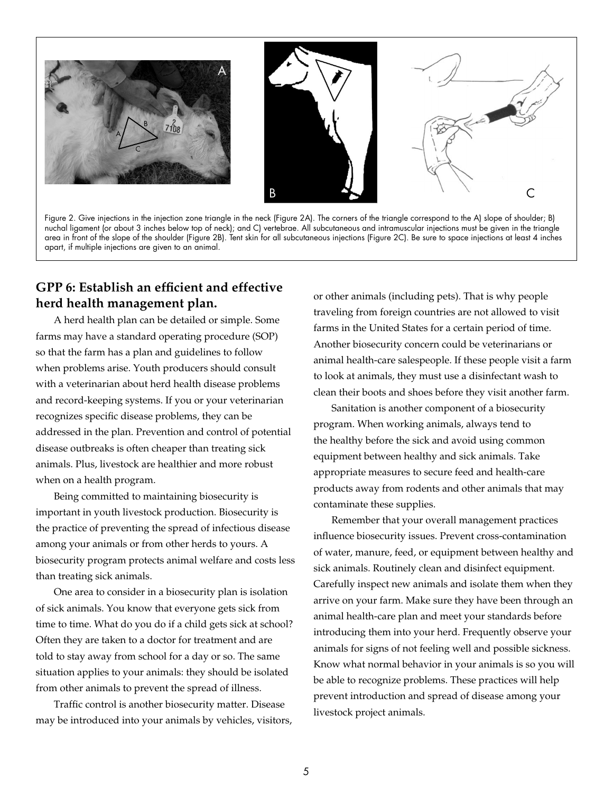

Figure 2. Give injections in the injection zone triangle in the neck (Figure 2A). The corners of the triangle correspond to the A) slope of shoulder; B) nuchal ligament (or about 3 inches below top of neck); and C) vertebrae. All subcutaneous and intramuscular injections must be given in the triangle area in front of the slope of the shoulder (Figure 2B). Tent skin for all subcutaneous injections (Figure 2C). Be sure to space injections at least 4 inches apart, if multiple injections are given to an animal.

#### **GPP 6: Establish an efficient and effective herd health management plan.**

A herd health plan can be detailed or simple. Some farms may have a standard operating procedure (SOP) so that the farm has a plan and guidelines to follow when problems arise. Youth producers should consult with a veterinarian about herd health disease problems and record-keeping systems. If you or your veterinarian recognizes specific disease problems, they can be addressed in the plan. Prevention and control of potential disease outbreaks is often cheaper than treating sick animals. Plus, livestock are healthier and more robust when on a health program.

Being committed to maintaining biosecurity is important in youth livestock production. Biosecurity is the practice of preventing the spread of infectious disease among your animals or from other herds to yours. A biosecurity program protects animal welfare and costs less than treating sick animals.

One area to consider in a biosecurity plan is isolation of sick animals. You know that everyone gets sick from time to time. What do you do if a child gets sick at school? Often they are taken to a doctor for treatment and are told to stay away from school for a day or so. The same situation applies to your animals: they should be isolated from other animals to prevent the spread of illness.

Traffic control is another biosecurity matter. Disease may be introduced into your animals by vehicles, visitors, or other animals (including pets). That is why people traveling from foreign countries are not allowed to visit farms in the United States for a certain period of time. Another biosecurity concern could be veterinarians or animal health-care salespeople. If these people visit a farm to look at animals, they must use a disinfectant wash to clean their boots and shoes before they visit another farm.

Sanitation is another component of a biosecurity program. When working animals, always tend to the healthy before the sick and avoid using common equipment between healthy and sick animals. Take appropriate measures to secure feed and health-care products away from rodents and other animals that may contaminate these supplies.

Remember that your overall management practices influence biosecurity issues. Prevent cross-contamination of water, manure, feed, or equipment between healthy and sick animals. Routinely clean and disinfect equipment. Carefully inspect new animals and isolate them when they arrive on your farm. Make sure they have been through an animal health-care plan and meet your standards before introducing them into your herd. Frequently observe your animals for signs of not feeling well and possible sickness. Know what normal behavior in your animals is so you will be able to recognize problems. These practices will help prevent introduction and spread of disease among your livestock project animals.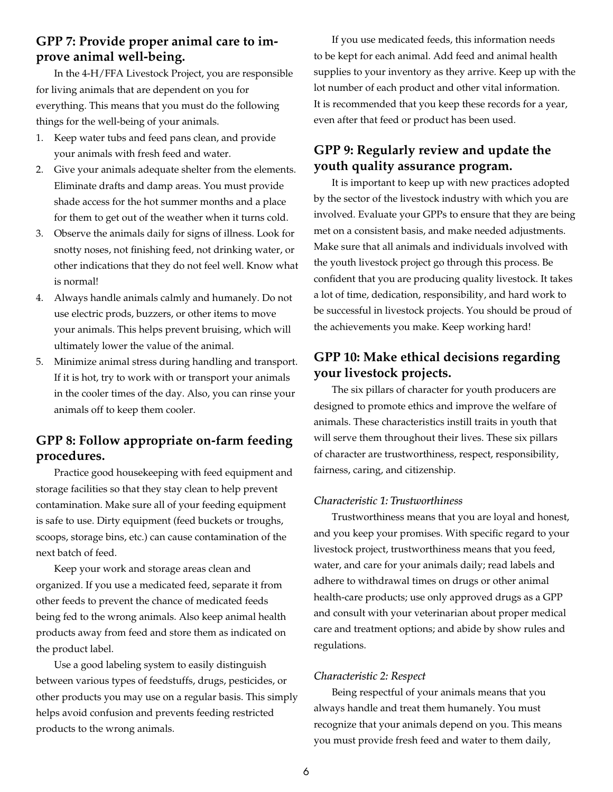#### **GPP 7: Provide proper animal care to improve animal well-being.**

In the 4-H/FFA Livestock Project, you are responsible for living animals that are dependent on you for everything. This means that you must do the following things for the well-being of your animals.

- 1. Keep water tubs and feed pans clean, and provide your animals with fresh feed and water.
- 2. Give your animals adequate shelter from the elements. Eliminate drafts and damp areas. You must provide shade access for the hot summer months and a place for them to get out of the weather when it turns cold.
- 3. Observe the animals daily for signs of illness. Look for snotty noses, not finishing feed, not drinking water, or other indications that they do not feel well. Know what is normal!
- 4. Always handle animals calmly and humanely. Do not use electric prods, buzzers, or other items to move your animals. This helps prevent bruising, which will ultimately lower the value of the animal.
- 5. Minimize animal stress during handling and transport. If it is hot, try to work with or transport your animals in the cooler times of the day. Also, you can rinse your animals off to keep them cooler.

## **GPP 8: Follow appropriate on-farm feeding procedures.**

Practice good housekeeping with feed equipment and storage facilities so that they stay clean to help prevent contamination. Make sure all of your feeding equipment is safe to use. Dirty equipment (feed buckets or troughs, scoops, storage bins, etc.) can cause contamination of the next batch of feed.

Keep your work and storage areas clean and organized. If you use a medicated feed, separate it from other feeds to prevent the chance of medicated feeds being fed to the wrong animals. Also keep animal health products away from feed and store them as indicated on the product label.

Use a good labeling system to easily distinguish between various types of feedstuffs, drugs, pesticides, or other products you may use on a regular basis. This simply helps avoid confusion and prevents feeding restricted products to the wrong animals.

If you use medicated feeds, this information needs to be kept for each animal. Add feed and animal health supplies to your inventory as they arrive. Keep up with the lot number of each product and other vital information. It is recommended that you keep these records for a year, even after that feed or product has been used.

## **GPP 9: Regularly review and update the youth quality assurance program.**

It is important to keep up with new practices adopted by the sector of the livestock industry with which you are involved. Evaluate your GPPs to ensure that they are being met on a consistent basis, and make needed adjustments. Make sure that all animals and individuals involved with the youth livestock project go through this process. Be confident that you are producing quality livestock. It takes a lot of time, dedication, responsibility, and hard work to be successful in livestock projects. You should be proud of the achievements you make. Keep working hard!

## **GPP 10: Make ethical decisions regarding your livestock projects.**

The six pillars of character for youth producers are designed to promote ethics and improve the welfare of animals. These characteristics instill traits in youth that will serve them throughout their lives. These six pillars of character are trustworthiness, respect, responsibility, fairness, caring, and citizenship.

#### *Characteristic 1: Trustworthiness*

Trustworthiness means that you are loyal and honest, and you keep your promises. With specific regard to your livestock project, trustworthiness means that you feed, water, and care for your animals daily; read labels and adhere to withdrawal times on drugs or other animal health-care products; use only approved drugs as a GPP and consult with your veterinarian about proper medical care and treatment options; and abide by show rules and regulations.

#### *Characteristic 2: Respect*

Being respectful of your animals means that you always handle and treat them humanely. You must recognize that your animals depend on you. This means you must provide fresh feed and water to them daily,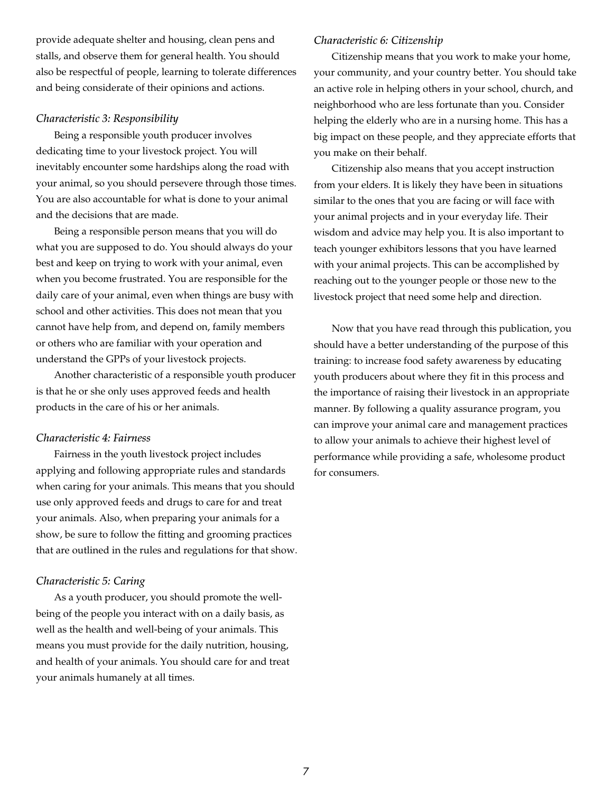provide adequate shelter and housing, clean pens and stalls, and observe them for general health. You should also be respectful of people, learning to tolerate differences and being considerate of their opinions and actions.

#### *Characteristic 3: Responsibility*

Being a responsible youth producer involves dedicating time to your livestock project. You will inevitably encounter some hardships along the road with your animal, so you should persevere through those times. You are also accountable for what is done to your animal and the decisions that are made.

Being a responsible person means that you will do what you are supposed to do. You should always do your best and keep on trying to work with your animal, even when you become frustrated. You are responsible for the daily care of your animal, even when things are busy with school and other activities. This does not mean that you cannot have help from, and depend on, family members or others who are familiar with your operation and understand the GPPs of your livestock projects.

Another characteristic of a responsible youth producer is that he or she only uses approved feeds and health products in the care of his or her animals.

#### *Characteristic 4: Fairness*

Fairness in the youth livestock project includes applying and following appropriate rules and standards when caring for your animals. This means that you should use only approved feeds and drugs to care for and treat your animals. Also, when preparing your animals for a show, be sure to follow the fitting and grooming practices that are outlined in the rules and regulations for that show.

#### *Characteristic 5: Caring*

As a youth producer, you should promote the wellbeing of the people you interact with on a daily basis, as well as the health and well-being of your animals. This means you must provide for the daily nutrition, housing, and health of your animals. You should care for and treat your animals humanely at all times.

#### *Characteristic 6: Citizenship*

Citizenship means that you work to make your home, your community, and your country better. You should take an active role in helping others in your school, church, and neighborhood who are less fortunate than you. Consider helping the elderly who are in a nursing home. This has a big impact on these people, and they appreciate efforts that you make on their behalf.

Citizenship also means that you accept instruction from your elders. It is likely they have been in situations similar to the ones that you are facing or will face with your animal projects and in your everyday life. Their wisdom and advice may help you. It is also important to teach younger exhibitors lessons that you have learned with your animal projects. This can be accomplished by reaching out to the younger people or those new to the livestock project that need some help and direction.

Now that you have read through this publication, you should have a better understanding of the purpose of this training: to increase food safety awareness by educating youth producers about where they fit in this process and the importance of raising their livestock in an appropriate manner. By following a quality assurance program, you can improve your animal care and management practices to allow your animals to achieve their highest level of performance while providing a safe, wholesome product for consumers.